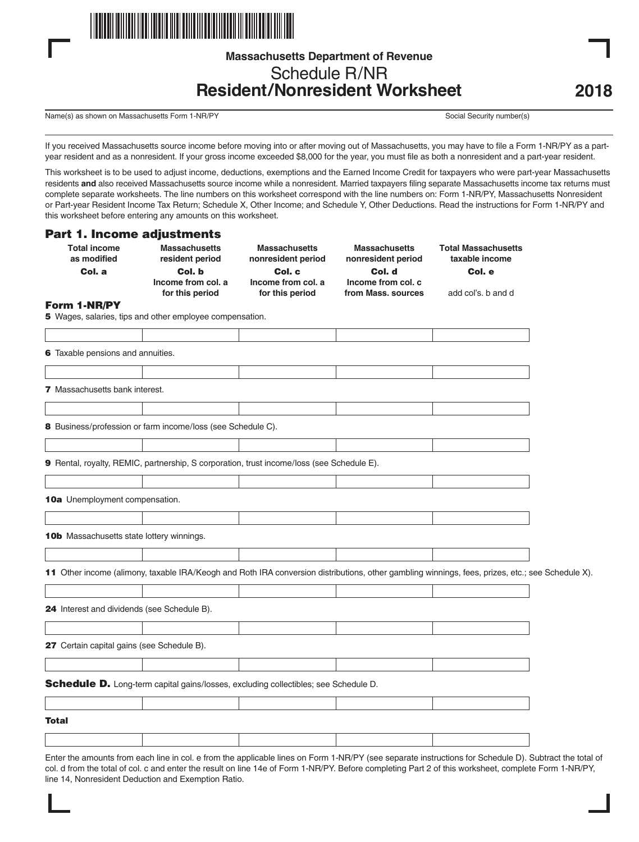

# **Massachusetts Department of Revenue** Schedule R/NR **Resident/Nonresident Worksheet**

Name(s) as shown on Massachusetts Form 1-NR/PY Social Security number(s) Social Security number(s)

If you received Massachusetts source income before moving into or after moving out of Massachusetts, you may have to file a Form 1-NR/PY as a partyear resident and as a nonresident. If your gross income exceeded \$8,000 for the year, you must file as both a nonresident and a part-year resident.

This worksheet is to be used to adjust income, deductions, exemptions and the Earned Income Credit for taxpayers who were part-year Massachusetts residents **and** also received Massachusetts source income while a nonresident. Married taxpayers filing separate Massachusetts income tax returns must complete separate worksheets. The line numbers on this worksheet correspond with the line numbers on: Form 1-NR/PY, Massachusetts Nonresident or Part-year Resident Income Tax Return; Schedule X, Other Income; and Schedule Y, Other Deductions. Read the instructions for Form 1-NR/PY and this worksheet before entering any amounts on this worksheet.

### Part 1. Income adjustments

| <b>Total income</b><br>as modified               | <b>Massachusetts</b><br>resident period                                                                                                          | <b>Massachusetts</b><br>nonresident period | <b>Massachusetts</b><br>nonresident period | <b>Total Massachusetts</b><br>taxable income |  |
|--------------------------------------------------|--------------------------------------------------------------------------------------------------------------------------------------------------|--------------------------------------------|--------------------------------------------|----------------------------------------------|--|
| Col. a                                           | Col. b                                                                                                                                           | Col. c                                     | Col. d                                     | Col. e                                       |  |
|                                                  | Income from col. a<br>for this period                                                                                                            | Income from col. a<br>for this period      | Income from col. c<br>from Mass, sources   | add col's. b and d                           |  |
| Form 1-NR/PY                                     |                                                                                                                                                  |                                            |                                            |                                              |  |
|                                                  | 5 Wages, salaries, tips and other employee compensation.                                                                                         |                                            |                                            |                                              |  |
|                                                  |                                                                                                                                                  |                                            |                                            |                                              |  |
| 6 Taxable pensions and annuities.                |                                                                                                                                                  |                                            |                                            |                                              |  |
|                                                  |                                                                                                                                                  |                                            |                                            |                                              |  |
| <b>7</b> Massachusetts bank interest.            |                                                                                                                                                  |                                            |                                            |                                              |  |
|                                                  |                                                                                                                                                  |                                            |                                            |                                              |  |
|                                                  | 8 Business/profession or farm income/loss (see Schedule C).                                                                                      |                                            |                                            |                                              |  |
|                                                  |                                                                                                                                                  |                                            |                                            |                                              |  |
|                                                  | 9 Rental, royalty, REMIC, partnership, S corporation, trust income/loss (see Schedule E).                                                        |                                            |                                            |                                              |  |
|                                                  |                                                                                                                                                  |                                            |                                            |                                              |  |
| 10a Unemployment compensation.                   |                                                                                                                                                  |                                            |                                            |                                              |  |
|                                                  |                                                                                                                                                  |                                            |                                            |                                              |  |
| <b>10b</b> Massachusetts state lottery winnings. |                                                                                                                                                  |                                            |                                            |                                              |  |
|                                                  |                                                                                                                                                  |                                            |                                            |                                              |  |
|                                                  | 11 Other income (alimony, taxable IRA/Keogh and Roth IRA conversion distributions, other gambling winnings, fees, prizes, etc.; see Schedule X). |                                            |                                            |                                              |  |
|                                                  |                                                                                                                                                  |                                            |                                            |                                              |  |
| 24 Interest and dividends (see Schedule B).      |                                                                                                                                                  |                                            |                                            |                                              |  |
|                                                  |                                                                                                                                                  |                                            |                                            |                                              |  |
| 27 Certain capital gains (see Schedule B).       |                                                                                                                                                  |                                            |                                            |                                              |  |
|                                                  |                                                                                                                                                  |                                            |                                            |                                              |  |
|                                                  | Schedule D. Long-term capital gains/losses, excluding collectibles; see Schedule D.                                                              |                                            |                                            |                                              |  |
|                                                  |                                                                                                                                                  |                                            |                                            |                                              |  |
| <b>Total</b>                                     |                                                                                                                                                  |                                            |                                            |                                              |  |
|                                                  |                                                                                                                                                  |                                            |                                            |                                              |  |

Enter the amounts from each line in col. e from the applicable lines on Form 1-NR/PY (see separate instructions for Schedule D). Subtract the total of col. d from the total of col. c and enter the result on line 14e of Form 1-NR/PY. Before completing Part 2 of this worksheet, complete Form 1-NR/PY, line 14, Nonresident Deduction and Exemption Ratio.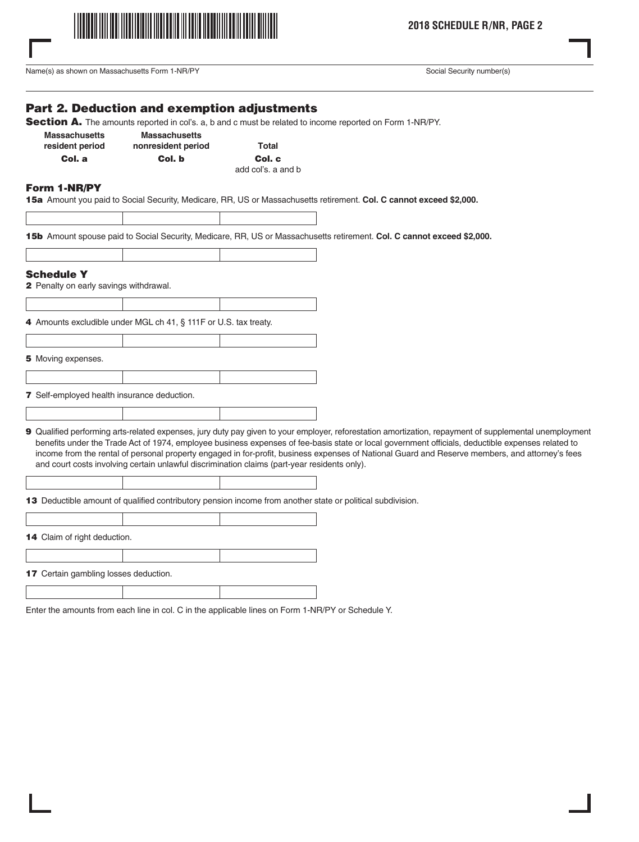

**2018 SCHEDULE R/NR, PAGE 2**

Name(s) as shown on Massachusetts Form 1-NR/PY Social Security number(s) Social Security number(s)

## Part 2. Deduction and exemption adjustments

Section A. The amounts reported in col's. a, b and c must be related to income reported on Form 1-NR/PY.

| <b>Massachusetts</b> | <b>Massachusetts</b> |                   |
|----------------------|----------------------|-------------------|
| resident period      | nonresident period   | <b>Total</b>      |
| Col. a               | Col. b               | Col.              |
|                      |                      | المستقلة والملوية |

Col. c add col's. a and b

#### Form 1-NR/PY

15a Amount you paid to Social Security, Medicare, RR, US or Massachusetts retirement. **Col. C cannot exceed \$2,000.**

15b Amount spouse paid to Social Security, Medicare, RR, US or Massachusetts retirement. **Col. C cannot exceed \$2,000.**

| <b>Schedule Y</b>                                  |                                                                                              |                                                                                                                                                                                                                                                                                                                                                                                                                                                                |
|----------------------------------------------------|----------------------------------------------------------------------------------------------|----------------------------------------------------------------------------------------------------------------------------------------------------------------------------------------------------------------------------------------------------------------------------------------------------------------------------------------------------------------------------------------------------------------------------------------------------------------|
| <b>2</b> Penalty on early savings withdrawal.      |                                                                                              |                                                                                                                                                                                                                                                                                                                                                                                                                                                                |
|                                                    |                                                                                              |                                                                                                                                                                                                                                                                                                                                                                                                                                                                |
|                                                    | 4 Amounts excludible under MGL ch 41, § 111F or U.S. tax treaty.                             |                                                                                                                                                                                                                                                                                                                                                                                                                                                                |
|                                                    |                                                                                              |                                                                                                                                                                                                                                                                                                                                                                                                                                                                |
| 5 Moving expenses.                                 |                                                                                              |                                                                                                                                                                                                                                                                                                                                                                                                                                                                |
|                                                    |                                                                                              |                                                                                                                                                                                                                                                                                                                                                                                                                                                                |
| <b>7</b> Self-employed health insurance deduction. |                                                                                              |                                                                                                                                                                                                                                                                                                                                                                                                                                                                |
|                                                    |                                                                                              |                                                                                                                                                                                                                                                                                                                                                                                                                                                                |
|                                                    | and court costs involving certain unlawful discrimination claims (part-year residents only). | 9 Qualified performing arts-related expenses, jury duty pay given to your employer, reforestation amortization, repayment of supplemental unemployment<br>benefits under the Trade Act of 1974, employee business expenses of fee-basis state or local government officials, deductible expenses related to<br>income from the rental of personal property engaged in for-profit, business expenses of National Guard and Reserve members, and attorney's fees |
|                                                    |                                                                                              |                                                                                                                                                                                                                                                                                                                                                                                                                                                                |

13 Deductible amount of qualified contributory pension income from another state or political subdivision.

14 Claim of right deduction.

17 Certain gambling losses deduction.

Enter the amounts from each line in col. C in the applicable lines on Form 1-NR/PY or Schedule Y.